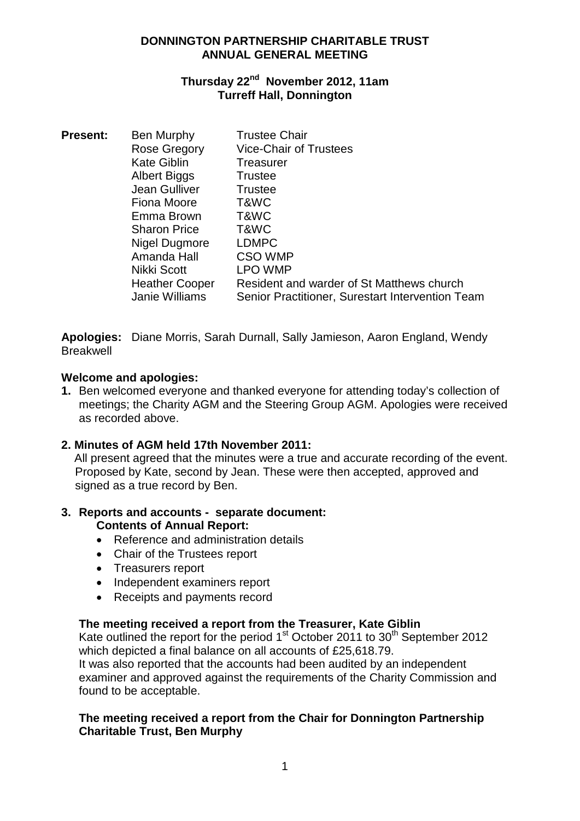## **DONNINGTON PARTNERSHIP CHARITABLE TRUST ANNUAL GENERAL MEETING**

# **Thursday 22nd November 2012, 11am Turreff Hall, Donnington**

| <b>Present:</b> | Ben Murphy            | <b>Trustee Chair</b>                             |
|-----------------|-----------------------|--------------------------------------------------|
|                 | Rose Gregory          | <b>Vice-Chair of Trustees</b>                    |
|                 | <b>Kate Giblin</b>    | Treasurer                                        |
|                 | Albert Biggs          | <b>Trustee</b>                                   |
|                 | Jean Gulliver         | <b>Trustee</b>                                   |
|                 | Fiona Moore           | T&WC                                             |
|                 | Emma Brown            | T&WC                                             |
|                 | <b>Sharon Price</b>   | T&WC                                             |
|                 | Nigel Dugmore         | <b>LDMPC</b>                                     |
|                 | Amanda Hall           | <b>CSO WMP</b>                                   |
|                 | Nikki Scott           | LPO WMP                                          |
|                 | <b>Heather Cooper</b> | Resident and warder of St Matthews church        |
|                 | <b>Janie Williams</b> | Senior Practitioner, Surestart Intervention Team |

**Apologies:** Diane Morris, Sarah Durnall, Sally Jamieson, Aaron England, Wendy **Breakwell** 

## **Welcome and apologies:**

**1.** Ben welcomed everyone and thanked everyone for attending today's collection of meetings; the Charity AGM and the Steering Group AGM. Apologies were received as recorded above.

# **2. Minutes of AGM held 17th November 2011:**

All present agreed that the minutes were a true and accurate recording of the event. Proposed by Kate, second by Jean. These were then accepted, approved and signed as a true record by Ben.

# **3. Reports and accounts - separate document:**

## **Contents of Annual Report:**

- Reference and administration details
- Chair of the Trustees report
- Treasurers report
- Independent examiners report
- Receipts and payments record

## **The meeting received a report from the Treasurer, Kate Giblin**

Kate outlined the report for the period  $1<sup>st</sup>$  October 2011 to 30<sup>th</sup> September 2012 which depicted a final balance on all accounts of £25,618.79. It was also reported that the accounts had been audited by an independent examiner and approved against the requirements of the Charity Commission and found to be acceptable.

# **The meeting received a report from the Chair for Donnington Partnership Charitable Trust, Ben Murphy**